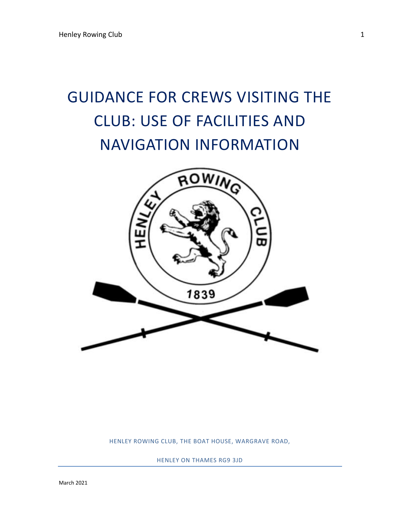# GUIDANCE FOR CREWS VISITING THE CLUB: USE OF FACILITIES AND NAVIGATION INFORMATION



HENLEY ROWING CLUB, THE BOAT HOUSE, WARGRAVE ROAD,

HENLEY ON THAMES RG9 3JD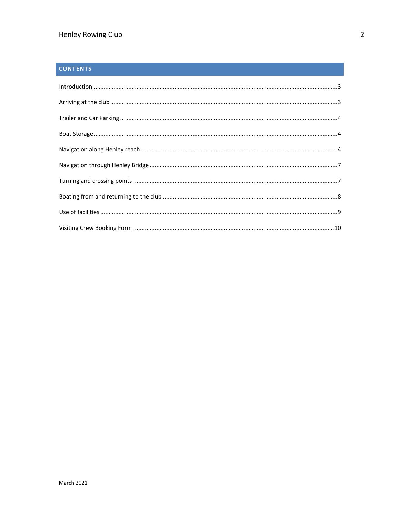# **CONTENTS**

| $\label{lem:1} \mbox{Introduction} \,\, \ldots \,\, \ldots \,\, \ldots \,\, \ldots \,\, \ldots \,\, \ldots \,\, \ldots \,\, \ldots \,\, \ldots \,\, \ldots \,\, \ldots \,\, \ldots \,\, \ldots \,\, \ldots \,\, \ldots \,\, \ldots \,\, \ldots \,\, \ldots \,\, \ldots \,\, \ldots \,\, \ldots \,\, \ldots \,\, \ldots \,\, \ldots \,\, \ldots \,\, \ldots \,\, \ldots \,\, \ldots \,\, \ldots \,\, \ldots \,\, \ldots \,\, \ldots \,\, \ldots \,\, \ldots \,\,$ |  |
|------------------------------------------------------------------------------------------------------------------------------------------------------------------------------------------------------------------------------------------------------------------------------------------------------------------------------------------------------------------------------------------------------------------------------------------------------------------|--|
|                                                                                                                                                                                                                                                                                                                                                                                                                                                                  |  |
|                                                                                                                                                                                                                                                                                                                                                                                                                                                                  |  |
|                                                                                                                                                                                                                                                                                                                                                                                                                                                                  |  |
|                                                                                                                                                                                                                                                                                                                                                                                                                                                                  |  |
|                                                                                                                                                                                                                                                                                                                                                                                                                                                                  |  |
|                                                                                                                                                                                                                                                                                                                                                                                                                                                                  |  |
|                                                                                                                                                                                                                                                                                                                                                                                                                                                                  |  |
|                                                                                                                                                                                                                                                                                                                                                                                                                                                                  |  |
|                                                                                                                                                                                                                                                                                                                                                                                                                                                                  |  |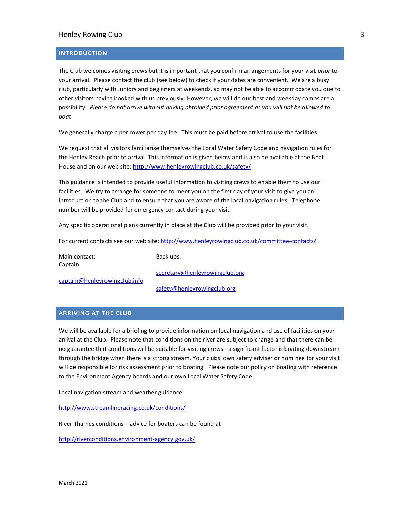#### <span id="page-2-0"></span>**INTRODUCTION**

The Club welcomes visiting crews but it is important that you confirm arrangements for your visit *prior* to your arrival. Please contact the club (see below) to check if your dates are convenient. We are a busy club, particularly with Juniors and beginners at weekends, so may not be able to accommodate you due to other visitors having booked with us previously. However, we will do our best and weekday camps are a possibility. *Please do not arrive without having obtained prior agreement as you will not be allowed to boat*

We generally charge a per rower per day fee. This must be paid before arrival to use the facilities.

We request that all visitors familiarise themselves the Local Water Safety Code and navigation rules for the Henley Reach prior to arrival. This information is given below and is also be available at the Boat House and on our web site[: http://www.henleyrowingclub.co.uk/safety/](http://www.henleyrowingclub.co.uk/safety/)

This guidance is intended to provide useful information to visiting crews to enable them to use our facilities. We try to arrange for someone to meet you on the first day of your visit to give you an introduction to the Club and to ensure that you are aware of the local navigation rules. Telephone number will be provided for emergency contact during your visit.

Any specific operational plans currently in place at the Club will be provided prior to your visit.

For current contacts see our web site:<http://www.henleyrowingclub.co.uk/committee-contacts/>

Main contact: Captain

Back ups:

[secretary@henleyrowingclub.org](mailto:secretary@henleyrowingclub.org)

[captain@henleyrowingclub.info](mailto:captain@henleyrowingclub.info)

[safety@henleyrowingclub.org](mailto:safety@henleyrowingclub.org)

## <span id="page-2-1"></span>**ARRIVING AT THE CLUB**

We will be available for a briefing to provide information on local navigation and use of facilities on your arrival at the Club. Please note that conditions on the river are subject to change and that there can be no guarantee that conditions will be suitable for visiting crews - a significant factor is boating downstream through the bridge when there is a strong stream. Your clubs' own safety adviser or nominee for your visit will be responsible for risk assessment prior to boating. Please note our policy on boating with reference to the Environment Agency boards and our own Local Water Safety Code.

Local navigation stream and weather guidance:

<http://www.streamlineracing.co.uk/conditions/>

River Thames conditions – advice for boaters can be found at

<http://riverconditions.environment-agency.gov.uk/>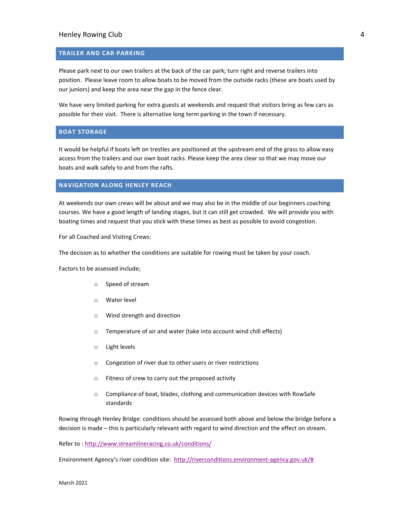#### <span id="page-3-0"></span>**TRAILER AND CAR PARKING**

Please park next to our own trailers at the back of the car park; turn right and reverse trailers into position. Please leave room to allow boats to be moved from the outside racks (these are boats used by our juniors) and keep the area near the gap in the fence clear.

We have very limited parking for extra guests at weekends and request that visitors bring as few cars as possible for their visit. There is alternative long term parking in the town if necessary.

## <span id="page-3-1"></span>**BOAT STORAGE**

It would be helpful if boats left on trestles are positioned at the upstream end of the grass to allow easy access from the trailers and our own boat racks. Please keep the area clear so that we may move our boats and walk safely to and from the rafts.

#### <span id="page-3-2"></span>**NAVIGATION ALONG HENLEY REACH**

At weekends our own crews will be about and we may also be in the middle of our beginners coaching courses. We have a good length of landing stages, but it can still get crowded. We will provide you with boating times and request that you stick with these times as best as possible to avoid congestion.

For all Coached and Visiting Crews:

The decision as to whether the conditions are suitable for rowing must be taken by your coach.

Factors to be assessed include;

- o Speed of stream
- o Water level
- o Wind strength and direction
- o Temperature of air and water (take into account wind chill effects)
- o Light levels
- o Congestion of river due to other users or river restrictions
- o Fitness of crew to carry out the proposed activity
- o Compliance of boat, blades, clothing and communication devices with RowSafe standards

Rowing through Henley Bridge: conditions should be assessed both above and below the bridge before a decision is made – this is particularly relevant with regard to wind direction and the effect on stream.

Refer to :<http://www.streamlineracing.co.uk/conditions/>

Environment Agency's river condition site: [http://riverconditions.environment-agency.gov.uk/#](http://riverconditions.environment-agency.gov.uk/)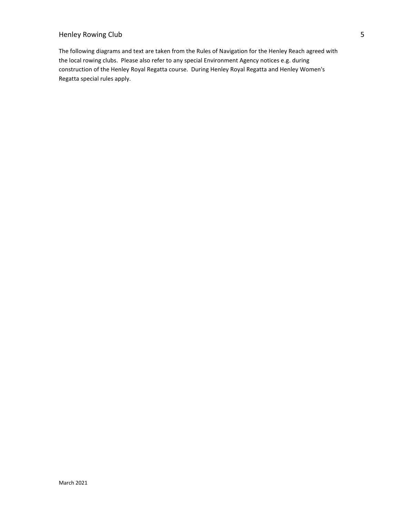The following diagrams and text are taken from the Rules of Navigation for the Henley Reach agreed with the local rowing clubs. Please also refer to any special Environment Agency notices e.g. during construction of the Henley Royal Regatta course. During Henley Royal Regatta and Henley Women's Regatta special rules apply.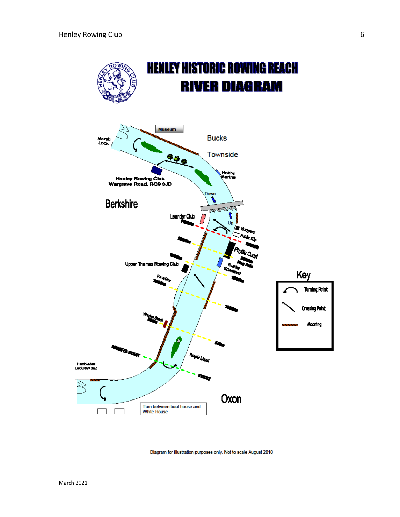

Diagram for illustration purposes only. Not to scale August 2010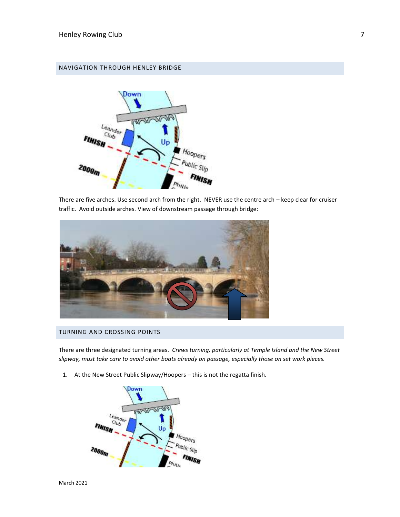## <span id="page-6-0"></span>NAVIGATION THROUGH HENLEY BRIDGE



There are five arches. Use second arch from the right. NEVER use the centre arch – keep clear for cruiser traffic. Avoid outside arches. View of downstream passage through bridge:



## <span id="page-6-1"></span>TURNING AND CROSSING POINTS

There are three designated turning areas. *Crews turning, particularly at Temple Island and the New Street slipway, must take care to avoid other boats already on passage, especially those on set work pieces.*

1. At the New Street Public Slipway/Hoopers – this is not the regatta finish.

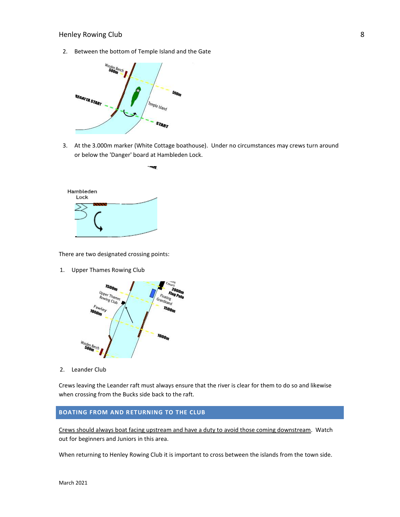2. Between the bottom of Temple Island and the Gate



-19

3. At the 3.000m marker (White Cottage boathouse). Under no circumstances may crews turn around or below the 'Danger' board at Hambleden Lock.



There are two designated crossing points:

1. Upper Thames Rowing Club



2. Leander Club

Crews leaving the Leander raft must always ensure that the river is clear for them to do so and likewise when crossing from the Bucks side back to the raft.

## <span id="page-7-0"></span>**BOATING FROM AND RETURNING TO THE CLUB**

Crews should always boat facing upstream and have a duty to avoid those coming downstream. Watch out for beginners and Juniors in this area.

When returning to Henley Rowing Club it is important to cross between the islands from the town side.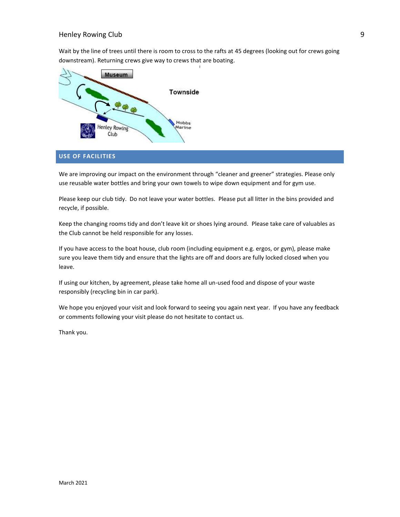Wait by the line of trees until there is room to cross to the rafts at 45 degrees (looking out for crews going downstream). Returning crews give way to crews that are boating.



## <span id="page-8-0"></span>**USE OF FACILITIES**

We are improving our impact on the environment through "cleaner and greener" strategies. Please only use reusable water bottles and bring your own towels to wipe down equipment and for gym use.

Please keep our club tidy. Do not leave your water bottles. Please put all litter in the bins provided and recycle, if possible.

Keep the changing rooms tidy and don't leave kit or shoes lying around. Please take care of valuables as the Club cannot be held responsible for any losses.

If you have access to the boat house, club room (including equipment e.g. ergos, or gym), please make sure you leave them tidy and ensure that the lights are off and doors are fully locked closed when you leave.

If using our kitchen, by agreement, please take home all un-used food and dispose of your waste responsibly (recycling bin in car park).

We hope you enjoyed your visit and look forward to seeing you again next year. If you have any feedback or comments following your visit please do not hesitate to contact us.

Thank you.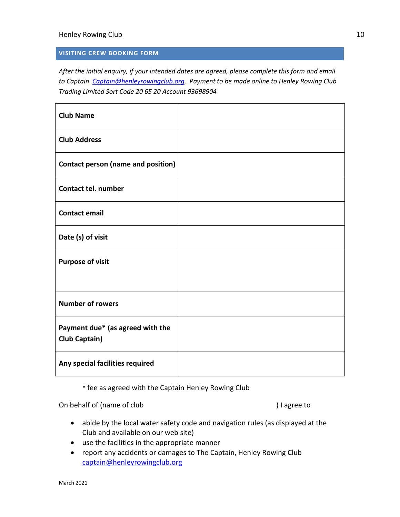## <span id="page-9-0"></span>**VISITING CREW BOOKING FORM**

*After the initial enquiry, if your intended dates are agreed, please complete this form and email to Captain [Captain@henleyrowingclub.org.](mailto:Captain@henleyrowingclub.org) Payment to be made online to Henley Rowing Club Trading Limited Sort Code 20 65 20 Account 93698904*

| <b>Club Name</b>                                         |  |
|----------------------------------------------------------|--|
| <b>Club Address</b>                                      |  |
| <b>Contact person (name and position)</b>                |  |
| <b>Contact tel. number</b>                               |  |
| <b>Contact email</b>                                     |  |
| Date (s) of visit                                        |  |
| <b>Purpose of visit</b>                                  |  |
|                                                          |  |
| <b>Number of rowers</b>                                  |  |
| Payment due* (as agreed with the<br><b>Club Captain)</b> |  |
| Any special facilities required                          |  |

\* fee as agreed with the Captain Henley Rowing Club

On behalf of (name of club ) I agree to

- abide by the local water safety code and navigation rules (as displayed at the Club and available on our web site)
- use the facilities in the appropriate manner
- report any accidents or damages to The Captain, Henley Rowing Club [captain@henleyrowingclub.org](mailto:captain@henleyrowingclub.org)